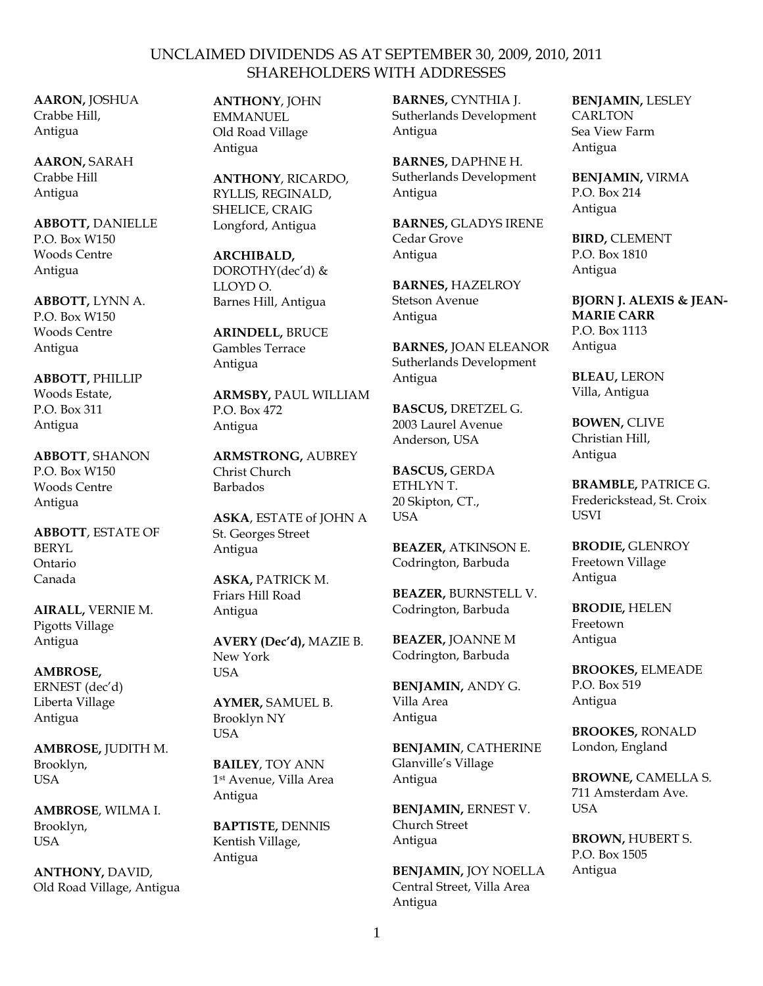**AARON,** JOSHUA Crabbe Hill, Antigua

**AARON,** SARAH Crabbe Hill Antigua

**ABBOTT,** DANIELLE P.O. Box W150 Woods Centre Antigua

**ABBOTT,** LYNN A. P.O. Box W150 Woods Centre Antigua

**ABBOTT,** PHILLIP Woods Estate, P.O. Box 311 Antigua

**ABBOTT**, SHANON P.O. Box W150 Woods Centre Antigua

**ABBOTT**, ESTATE OF BERYL Ontario Canada

**AIRALL,** VERNIE M. Pigotts Village Antigua

#### **AMBROSE,**

ERNEST (dec'd) Liberta Village Antigua

**AMBROSE,** JUDITH M. Brooklyn, USA

**AMBROSE**, WILMA I. Brooklyn, USA

**ANTHONY,** DAVID, Old Road Village, Antigua **ANTHONY**, JOHN EMMANUEL Old Road Village Antigua

**ANTHONY**, RICARDO, RYLLIS, REGINALD, SHELICE, CRAIG Longford, Antigua

**ARCHIBALD,** DOROTHY(dec'd) & LLOYD O. Barnes Hill, Antigua

**ARINDELL,** BRUCE Gambles Terrace Antigua

**ARMSBY,** PAUL WILLIAM P.O. Box 472 Antigua

**ARMSTRONG,** AUBREY Christ Church Barbados

**ASKA**, ESTATE of JOHN A St. Georges Street Antigua

**ASKA,** PATRICK M. Friars Hill Road Antigua

**AVERY (Dec'd),** MAZIE B. New York USA

**AYMER,** SAMUEL B. Brooklyn NY USA

**BAILEY**, TOY ANN 1 st Avenue, Villa Area Antigua

**BAPTISTE,** DENNIS Kentish Village, Antigua

**BARNES,** CYNTHIA J. Sutherlands Development Antigua

**BARNES,** DAPHNE H. Sutherlands Development Antigua

**BARNES,** GLADYS IRENE Cedar Grove Antigua

**BARNES,** HAZELROY Stetson Avenue Antigua

**BARNES,** JOAN ELEANOR Sutherlands Development Antigua

**BASCUS,** DRETZEL G. 2003 Laurel Avenue Anderson, USA

**BASCUS,** GERDA ETHLYN T. 20 Skipton, CT., **USA** 

**BEAZER,** ATKINSON E. Codrington, Barbuda

**BEAZER,** BURNSTELL V. Codrington, Barbuda

**BEAZER,** JOANNE M Codrington, Barbuda

**BENJAMIN,** ANDY G. Villa Area Antigua

**BENJAMIN**, CATHERINE Glanville's Village Antigua

**BENJAMIN,** ERNEST V. Church Street Antigua

**BENJAMIN,** JOY NOELLA Central Street, Villa Area Antigua

**BENJAMIN,** LESLEY **CARLTON** Sea View Farm Antigua

**BENJAMIN,** VIRMA P.O. Box 214 Antigua

**BIRD,** CLEMENT P.O. Box 1810 Antigua

**BJORN J. ALEXIS & JEAN- MARIE CARR** P.O. Box 1113 Antigua

**BLEAU,** LERON Villa, Antigua

**BOWEN,** CLIVE Christian Hill, Antigua

**BRAMBLE,** PATRICE G. Frederickstead, St. Croix USVI

**BRODIE,** GLENROY Freetown Village Antigua

**BRODIE,** HELEN Freetown Antigua

**BROOKES,** ELMEADE P.O. Box 519 Antigua

**BROOKES,** RONALD London, England

**BROWNE,** CAMELLA S. 711 Amsterdam Ave. USA

**BROWN,** HUBERT S. P.O. Box 1505 Antigua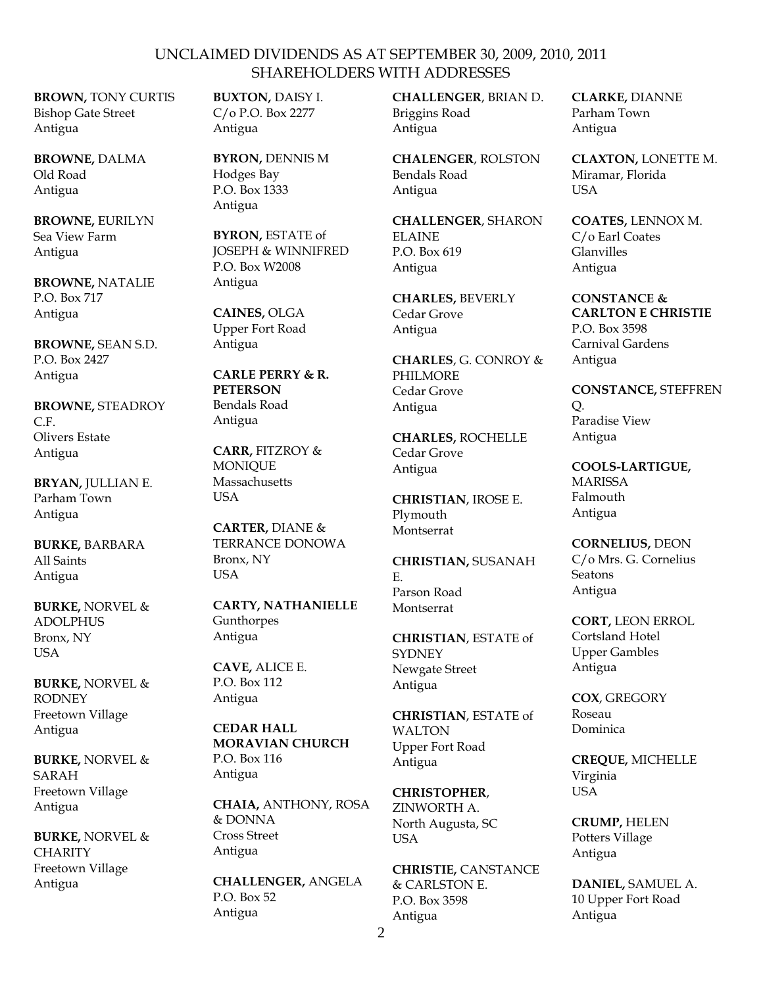**BROWN,** TONY CURTIS Bishop Gate Street Antigua

**BROWNE,** DALMA Old Road Antigua

**BROWNE,** EURILYN Sea View Farm Antigua

**BROWNE,** NATALIE P.O. Box 717 Antigua

**BROWNE,** SEAN S.D. P.O. Box 2427 Antigua

**BROWNE,** STEADROY  $C<sub>F</sub>$ Olivers Estate Antigua

**BRYAN,** JULLIAN E. Parham Town Antigua

**BURKE,** BARBARA All Saints Antigua

**BURKE,** NORVEL & ADOLPHUS Bronx, NY USA

**BURKE,** NORVEL & RODNEY Freetown Village Antigua

**BURKE,** NORVEL & SARAH Freetown Village Antigua

**BURKE,** NORVEL & **CHARITY** Freetown Village Antigua

**BUXTON,** DAISY I. C/o P.O. Box 2277 Antigua

**BYRON,** DENNIS M Hodges Bay P.O. Box 1333 Antigua

**BYRON,** ESTATE of JOSEPH & WINNIFRED P.O. Box W2008 Antigua

**CAINES,** OLGA Upper Fort Road Antigua

**CARLE PERRY & R. PETERSON** Bendals Road Antigua

**CARR,** FITZROY & MONIQUE **Massachusetts USA** 

**CARTER,** DIANE & TERRANCE DONOWA Bronx, NY USA

**CARTY, NATHANIELLE** Gunthorpes Antigua

**CAVE,** ALICE E. P.O. Box 112 Antigua

**CEDAR HALL MORAVIAN CHURCH** P.O. Box 116 Antigua

**CHAIA,** ANTHONY, ROSA & DONNA Cross Street Antigua

**CHALLENGER,** ANGELA P.O. Box 52 Antigua

**CHALLENGER**, BRIAN D. Briggins Road Antigua

**CHALENGER**, ROLSTON Bendals Road Antigua

**CHALLENGER**, SHARON ELAINE P.O. Box 619 Antigua

**CHARLES,** BEVERLY Cedar Grove Antigua

**CHARLES**, G. CONROY & PHILMORE Cedar Grove Antigua

**CHARLES,** ROCHELLE Cedar Grove Antigua

**CHRISTIAN**, IROSE E. Plymouth Montserrat

**CHRISTIAN,** SUSANAH E. Parson Road Montserrat

**CHRISTIAN**, ESTATE of **SYDNEY** Newgate Street Antigua

**CHRISTIAN**, ESTATE of WALTON Upper Fort Road Antigua

**CHRISTOPHER**, ZINWORTH A. North Augusta, SC **USA** 

**CHRISTIE,** CANSTANCE & CARLSTON E. P.O. Box 3598 Antigua

**CLARKE,** DIANNE Parham Town Antigua

**CLAXTON,** LONETTE M. Miramar, Florida **USA** 

**COATES,** LENNOX M. C/o Earl Coates Glanvilles Antigua

**CONSTANCE & CARLTON E CHRISTIE** P.O. Box 3598 Carnival Gardens Antigua

**CONSTANCE,** STEFFREN Q. Paradise View Antigua

**COOLS-LARTIGUE,** MARISSA Falmouth Antigua

**CORNELIUS,** DEON C/o Mrs. G. Cornelius Seatons Antigua

**CORT,** LEON ERROL Cortsland Hotel Upper Gambles Antigua

**COX**, GREGORY Roseau Dominica

**CREQUE,** MICHELLE Virginia USA

**CRUMP,** HELEN Potters Village Antigua

**DANIEL,** SAMUEL A. 10 Upper Fort Road Antigua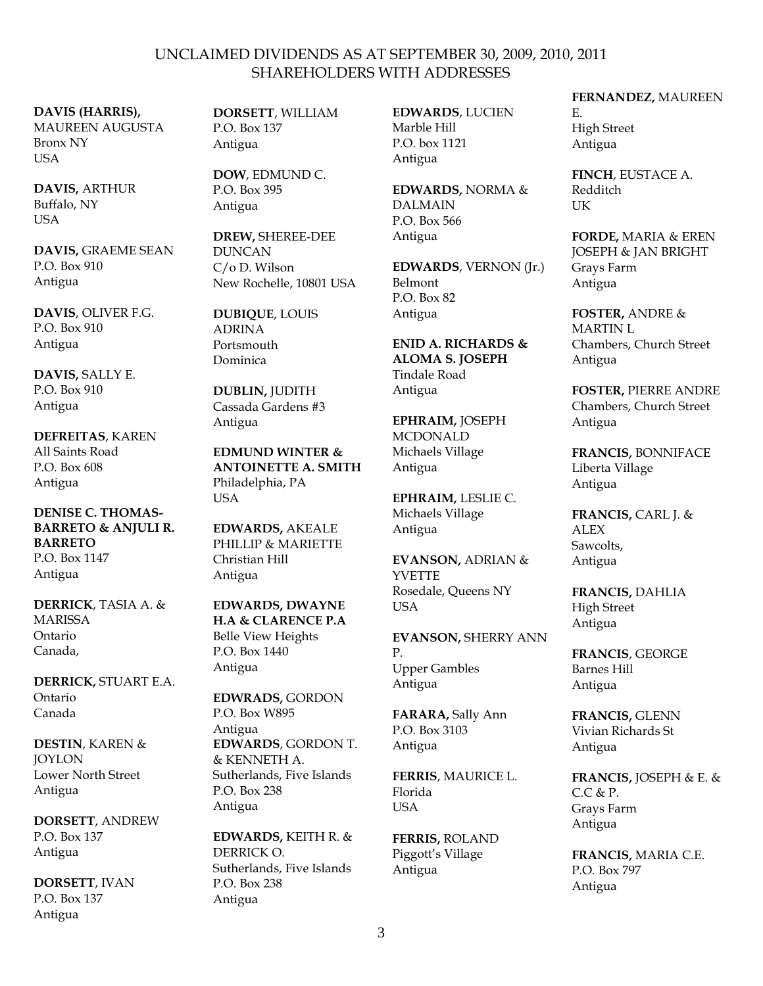### **DAVIS (HARRIS),**

MAUREEN AUGUSTA Bronx NY USA

**DAVIS,** ARTHUR Buffalo, NY USA

**DAVIS,** GRAEME SEAN P.O. Box 910 Antigua

**DAVIS**, OLIVER F.G. P.O. Box 910 Antigua

**DAVIS,** SALLY E. P.O. Box 910 Antigua

**DEFREITAS**, KAREN All Saints Road P.O. Box 608 Antigua

#### **DENISE C. THOMAS- BARRETO & ANJULI R. BARRETO** P.O. Box 1147 Antigua

**DERRICK**, TASIA A. & MARISSA Ontario Canada,

**DERRICK,** STUART E.A. Ontario Canada

**DESTIN**, KAREN & **JOYLON** Lower North Street Antigua

**DORSETT**, ANDREW P.O. Box 137 Antigua

**DORSETT**, IVAN P.O. Box 137 Antigua

**DORSETT**, WILLIAM P.O. Box 137 Antigua

**DOW**, EDMUND C. P.O. Box 395 Antigua

**DREW,** SHEREE-DEE DUNCAN C/o D. Wilson New Rochelle, 10801 USA

**DUBIQUE**, LOUIS ADRINA Portsmouth Dominica

**DUBLIN,** JUDITH Cassada Gardens #3 Antigua

**EDMUND WINTER & ANTOINETTE A. SMITH** Philadelphia, PA USA

**EDWARDS,** AKEALE PHILLIP & MARIETTE Christian Hill Antigua

**EDWARDS, DWAYNE H.A & CLARENCE P.A** Belle View Heights P.O. Box 1440 Antigua

**EDWRADS,** GORDON P.O. Box W895 Antigua **EDWARDS**, GORDON T. & KENNETH A. Sutherlands, Five Islands P.O. Box 238 Antigua

**EDWARDS,** KEITH R. & DERRICK O. Sutherlands, Five Islands P.O. Box 238 Antigua

**EDWARDS**, LUCIEN Marble Hill P.O. box 1121 Antigua

**EDWARDS,** NORMA & DALMAIN P.O. Box 566 Antigua

**EDWARDS**, VERNON (Jr.) Belmont P.O. Box 82 Antigua

**ENID A. RICHARDS & ALOMA S. JOSEPH** Tindale Road Antigua

**EPHRAIM,** JOSEPH MCDONALD Michaels Village Antigua

**EPHRAIM,** LESLIE C. Michaels Village Antigua

**EVANSON,** ADRIAN & **YVETTE** Rosedale, Queens NY **USA** 

**EVANSON,** SHERRY ANN P. Upper Gambles Antigua

**FARARA,** Sally Ann P.O. Box 3103 Antigua

**FERRIS**, MAURICE L. Florida **I**ISA

**FERRIS,** ROLAND Piggott's Village Antigua

#### **FERNANDEZ,** MAUREEN E.

High Street Antigua

**FINCH**, EUSTACE A. Redditch UK

**FORDE,** MARIA & EREN JOSEPH & JAN BRIGHT Grays Farm Antigua

**FOSTER,** ANDRE & MARTIN L Chambers, Church Street Antigua

**FOSTER,** PIERRE ANDRE Chambers, Church Street Antigua

**FRANCIS,** BONNIFACE Liberta Village Antigua

**FRANCIS,** CARL J. & **ALEX** Sawcolts, Antigua

**FRANCIS,** DAHLIA High Street Antigua

**FRANCIS**, GEORGE Barnes Hill Antigua

**FRANCIS,** GLENN Vivian Richards St Antigua

**FRANCIS,** JOSEPH & E. &  $C.C.$  & P. Grays Farm Antigua

**FRANCIS,** MARIA C.E. P.O. Box 797 Antigua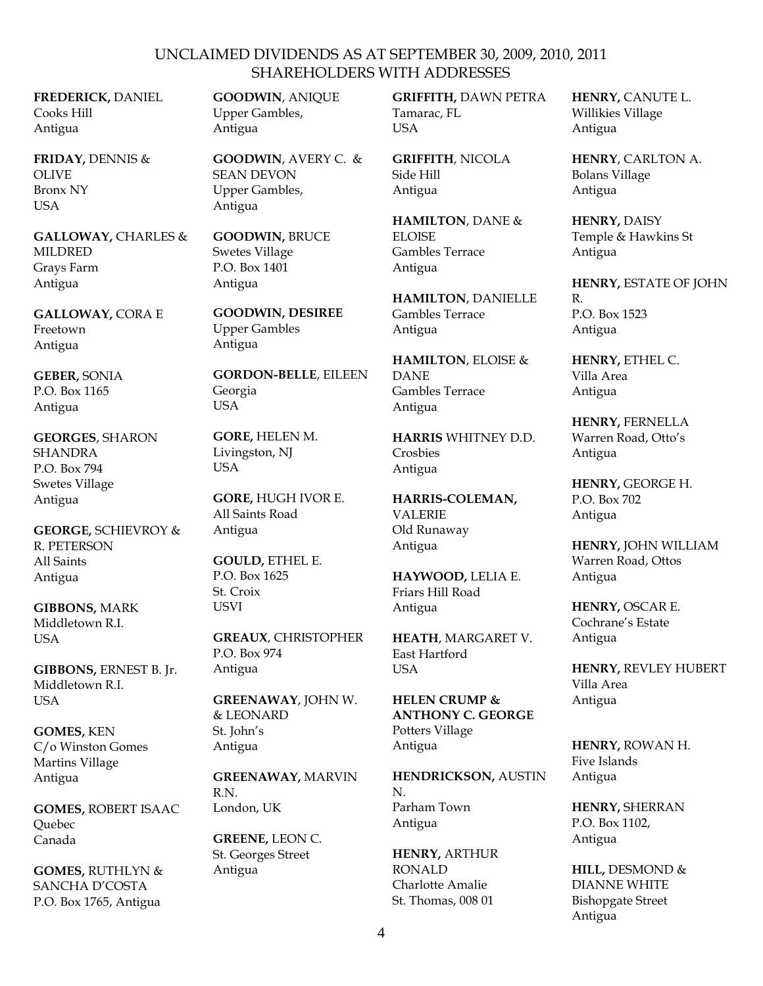**FREDERICK,** DANIEL Cooks Hill Antigua

**FRIDAY,** DENNIS & OLIVE Bronx NY USA

**GALLOWAY,** CHARLES & MILDRED Grays Farm Antigua

**GALLOWAY,** CORA E Freetown Antigua

**GEBER,** SONIA P.O. Box 1165 Antigua

**GEORGES**, SHARON SHANDRA P.O. Box 794 Swetes Village Antigua

**GEORGE,** SCHIEVROY & R. PETERSON All Saints Antigua

**GIBBONS,** MARK Middletown R.I. USA

**GIBBONS,** ERNEST B. Jr. Middletown R.I. USA

**GOMES,** KEN C/o Winston Gomes Martins Village Antigua

**GOMES,** ROBERT ISAAC Quebec Canada

**GOMES,** RUTHLYN & SANCHA D'COSTA P.O. Box 1765, Antigua

**GOODWIN**, ANIQUE Upper Gambles, Antigua

**GOODWIN**, AVERY C. & SEAN DEVON Upper Gambles, Antigua

**GOODWIN,** BRUCE Swetes Village P.O. Box 1401 Antigua

**GOODWIN, DESIREE** Upper Gambles Antigua

**GORDON-BELLE**, EILEEN Georgia USA

**GORE,** HELEN M. Livingston, NJ USA

**GORE,** HUGH IVOR E. All Saints Road Antigua

**GOULD,** ETHEL E. P.O. Box 1625 St. Croix USVI

**GREAUX**, CHRISTOPHER P.O. Box 974 Antigua

**GREENAWAY**, JOHN W. & LEONARD St. John's Antigua

**GREENAWAY,** MARVIN R<sub>N</sub> London, UK

**GREENE,** LEON C. St. Georges Street Antigua

**GRIFFITH,** DAWN PETRA Tamarac, FL **USA** 

**GRIFFITH**, NICOLA Side Hill Antigua

**HAMILTON**, DANE & ELOISE Gambles Terrace Antigua

**HAMILTON**, DANIELLE Gambles Terrace Antigua

**HAMILTON**, ELOISE & DANE Gambles Terrace Antigua

**HARRIS** WHITNEY D.D. Crosbies Antigua

**HARRIS-COLEMAN,** VALERIE Old Runaway Antigua

**HAYWOOD,** LELIA E. Friars Hill Road Antigua

**HEATH**, MARGARET V. East Hartford **I** ISA

**HELEN CRUMP & ANTHONY C. GEORGE** Potters Village Antigua

**HENDRICKSON,** AUSTIN N. Parham Town Antigua

**HENRY,** ARTHUR RONALD Charlotte Amalie St. Thomas, 008 01

**HENRY,** CANUTE L. Willikies Village Antigua

**HENRY**, CARLTON A. Bolans Village Antigua

**HENRY,** DAISY Temple & Hawkins St Antigua

**HENRY,** ESTATE OF JOHN R. P.O. Box 1523 Antigua

**HENRY,** ETHEL C. Villa Area Antigua

**HENRY,** FERNELLA Warren Road, Otto's Antigua

**HENRY,** GEORGE H. P.O. Box 702 Antigua

**HENRY,** JOHN WILLIAM Warren Road, Ottos Antigua

**HENRY,** OSCAR E. Cochrane's Estate Antigua

**HENRY,** REVLEY HUBERT Villa Area Antigua

**HENRY,** ROWAN H. Five Islands Antigua

**HENRY,** SHERRAN P.O. Box 1102, Antigua

**HILL,** DESMOND & DIANNE WHITE Bishopgate Street Antigua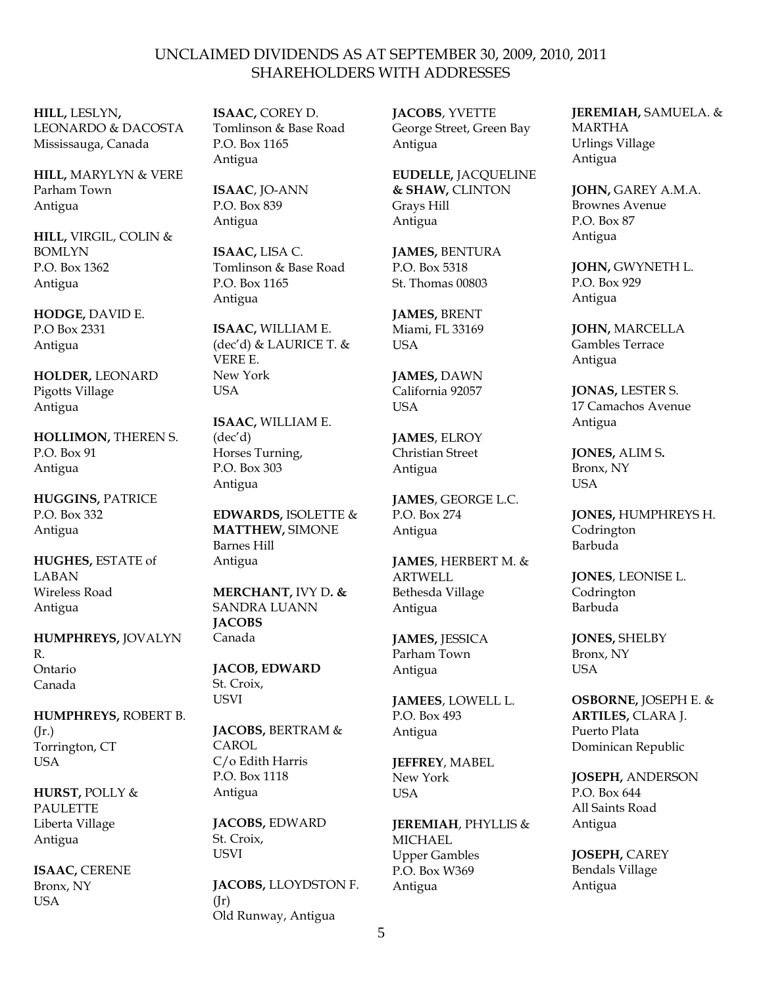**HILL,** LESLYN**,** LEONARDO & DACOSTA Mississauga, Canada

**HILL,** MARYLYN & VERE Parham Town Antigua

**HILL,** VIRGIL, COLIN & BOMLYN P.O. Box 1362 Antigua

**HODGE,** DAVID E. P.O Box 2331 Antigua

**HOLDER,** LEONARD Pigotts Village Antigua

**HOLLIMON,** THEREN S. P.O. Box 91 Antigua

**HUGGINS,** PATRICE P.O. Box 332 Antigua

**HUGHES,** ESTATE of LABAN Wireless Road Antigua

**HUMPHREYS,** JOVALYN R. Ontario Canada

**HUMPHREYS,** ROBERT B. (Jr.) Torrington, CT USA

**HURST,** POLLY & PAULETTE Liberta Village Antigua

**ISAAC,** CERENE Bronx, NY **USA** 

**ISAAC,** COREY D. Tomlinson & Base Road P.O. Box 1165 Antigua

**ISAAC**, JO-ANN P.O. Box 839 Antigua

**ISAAC,** LISA C. Tomlinson & Base Road P.O. Box 1165 Antigua

**ISAAC,** WILLIAM E. (dec'd) & LAURICE T. & VERE E. New York USA

**ISAAC,** WILLIAM E. (dec'd) Horses Turning, P.O. Box 303 Antigua

**EDWARDS,** ISOLETTE & **MATTHEW,** SIMONE Barnes Hill Antigua

**MERCHANT,** IVY D**. &** SANDRA LUANN **JACOBS** Canada

**JACOB, EDWARD** St. Croix, USVI

**JACOBS,** BERTRAM & **CAROL** C/o Edith Harris P.O. Box 1118 Antigua

**JACOBS,** EDWARD St. Croix, USVI

**JACOBS,** LLOYDSTON F.  $(Ir)$ Old Runway, Antigua

**JACOBS**, YVETTE George Street, Green Bay Antigua

**EUDELLE,** JACQUELINE **& SHAW,** CLINTON Grays Hill Antigua

**JAMES,** BENTURA P.O. Box 5318 St. Thomas 00803

**JAMES,** BRENT Miami, FL 33169 USA

**JAMES,** DAWN California 92057 **USA** 

**JAMES**, ELROY Christian Street Antigua

**JAMES**, GEORGE L.C. P.O. Box 274 Antigua

**JAMES**, HERBERT M. & ARTWELL Bethesda Village Antigua

**JAMES,** JESSICA Parham Town Antigua

**JAMEES**, LOWELL L. P.O. Box 493 Antigua

**JEFFREY**, MABEL New York **I**ISA

**JEREMIAH**, PHYLLIS & **MICHAEL** Upper Gambles P.O. Box W369 Antigua

**JEREMIAH,** SAMUELA. & MARTHA Urlings Village Antigua

**JOHN,** GAREY A.M.A. Brownes Avenue P.O. Box 87 Antigua

**JOHN,** GWYNETH L. P.O. Box 929 Antigua

**JOHN,** MARCELLA Gambles Terrace Antigua

**JONAS,** LESTER S. 17 Camachos Avenue Antigua

**JONES,** ALIM S**.** Bronx, NY USA

**JONES,** HUMPHREYS H. Codrington Barbuda

**JONES**, LEONISE L. Codrington Barbuda

**JONES,** SHELBY Bronx, NY **USA** 

**OSBORNE,** JOSEPH E. & **ARTILES,** CLARA J. Puerto Plata Dominican Republic

**JOSEPH,** ANDERSON P.O. Box 644 All Saints Road Antigua

**JOSEPH,** CAREY Bendals Village Antigua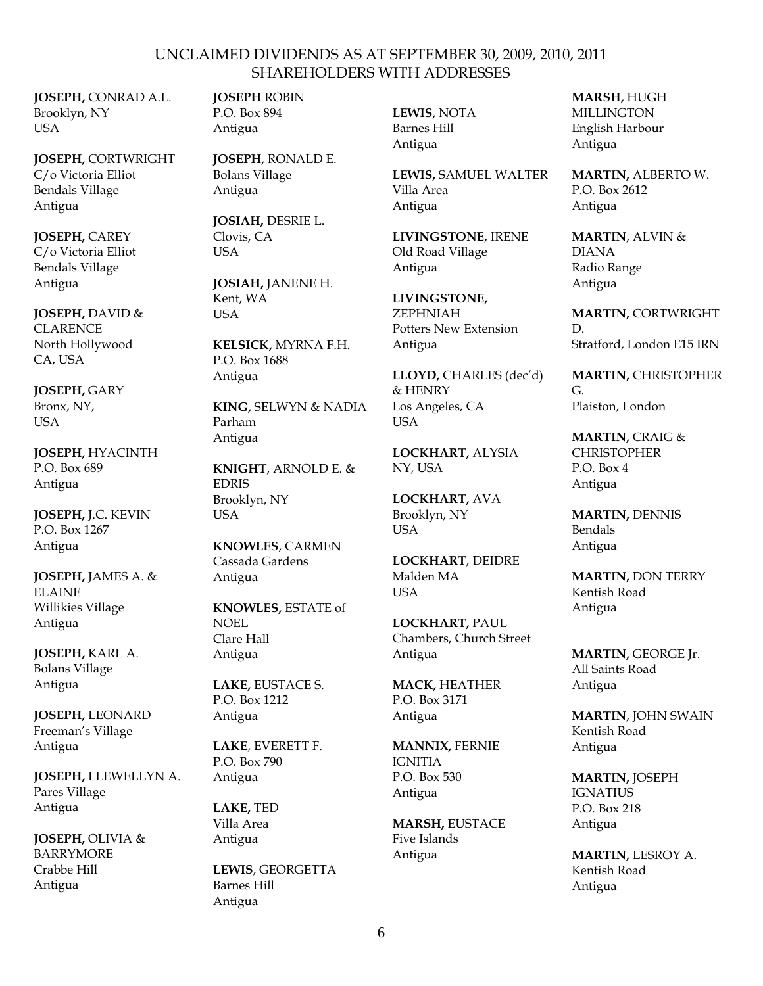**JOSEPH,** CONRAD A.L. Brooklyn, NY **USA** 

**JOSEPH,** CORTWRIGHT C/o Victoria Elliot Bendals Village Antigua

**JOSEPH,** CAREY C/o Victoria Elliot Bendals Village Antigua

**JOSEPH,** DAVID & **CLARENCE** North Hollywood CA, USA

**JOSEPH,** GARY Bronx, NY, **I**ISA

**JOSEPH,** HYACINTH P.O. Box 689 Antigua

**JOSEPH,** J.C. KEVIN P.O. Box 1267 Antigua

**JOSEPH,** JAMES A. & ELAINE Willikies Village Antigua

**JOSEPH,** KARL A. Bolans Village Antigua

**JOSEPH,** LEONARD Freeman's Village Antigua

**JOSEPH,** LLEWELLYN A. Pares Village Antigua

**JOSEPH,** OLIVIA & BARRYMORE Crabbe Hill Antigua

**JOSEPH** ROBIN P.O. Box 894 Antigua

**JOSEPH**, RONALD E. Bolans Village Antigua

**JOSIAH,** DESRIE L. Clovis, CA USA

**JOSIAH,** JANENE H. Kent, WA **USA** 

**KELSICK,** MYRNA F.H. P.O. Box 1688 Antigua

**KING,** SELWYN & NADIA Parham Antigua

**KNIGHT**, ARNOLD E. & **EDRIS** Brooklyn, NY USA

**KNOWLES**, CARMEN Cassada Gardens Antigua

**KNOWLES,** ESTATE of NOEL Clare Hall Antigua

**LAKE,** EUSTACE S. P.O. Box 1212 Antigua

**LAKE**, EVERETT F. P.O. Box 790 Antigua

**LAKE,** TED Villa Area Antigua

**LEWIS**, GEORGETTA Barnes Hill Antigua

**LEWIS**, NOTA Barnes Hill Antigua

**LEWIS,** SAMUEL WALTER Villa Area Antigua

**LIVINGSTONE**, IRENE Old Road Village Antigua

**LIVINGSTONE,** ZEPHNIAH Potters New Extension Antigua

**LLOYD,** CHARLES (dec'd) & HENRY Los Angeles, CA **I** ISA

**LOCKHART,** ALYSIA NY, USA

**LOCKHART,** AVA Brooklyn, NY USA

**LOCKHART**, DEIDRE Malden MA USA

**LOCKHART,** PAUL Chambers, Church Street Antigua

**MACK,** HEATHER P.O. Box 3171 Antigua

**MANNIX,** FERNIE IGNITIA P.O. Box 530 Antigua

**MARSH,** EUSTACE Five Islands Antigua

**MARSH,** HUGH **MILLINGTON** English Harbour Antigua

**MARTIN,** ALBERTO W. P.O. Box 2612 Antigua

**MARTIN**, ALVIN & DIANA Radio Range Antigua

**MARTIN,** CORTWRIGHT D. Stratford, London E15 IRN

**MARTIN,** CHRISTOPHER G. Plaiston, London

**MARTIN,** CRAIG & **CHRISTOPHER** P.O. Box 4 Antigua

**MARTIN,** DENNIS Bendals Antigua

**MARTIN,** DON TERRY Kentish Road Antigua

**MARTIN,** GEORGE Jr. All Saints Road Antigua

**MARTIN**, JOHN SWAIN Kentish Road Antigua

**MARTIN,** JOSEPH IGNATIUS P.O. Box 218 Antigua

**MARTIN,** LESROY A. Kentish Road Antigua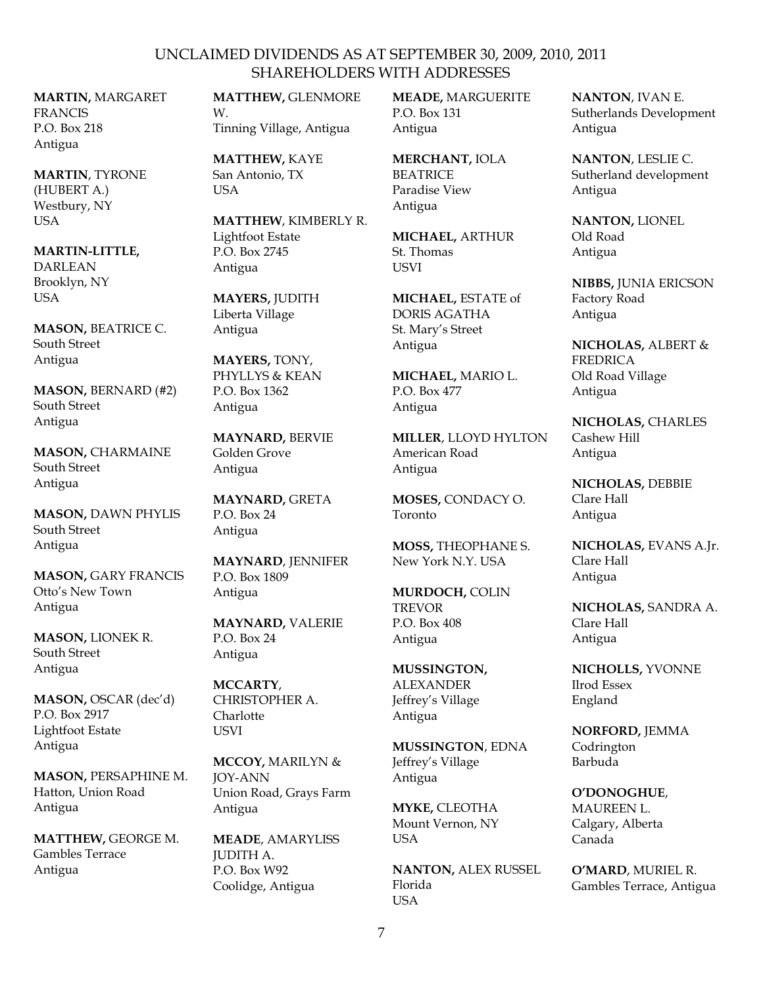**MARTIN,** MARGARET **FRANCIS** P.O. Box 218 Antigua

**MARTIN**, TYRONE (HUBERT A.) Westbury, NY USA

**MARTIN-LITTLE,** DARLEAN Brooklyn, NY USA

**MASON,** BEATRICE C. South Street Antigua

**MASON,** BERNARD (#2) South Street Antigua

**MASON,** CHARMAINE South Street Antigua

**MASON,** DAWN PHYLIS South Street Antigua

**MASON,** GARY FRANCIS Otto's New Town Antigua

**MASON,** LIONEK R. South Street Antigua

**MASON,** OSCAR (dec'd) P.O. Box 2917 Lightfoot Estate Antigua

**MASON,** PERSAPHINE M. Hatton, Union Road Antigua

**MATTHEW,** GEORGE M. Gambles Terrace Antigua

**MATTHEW,** GLENMORE W. Tinning Village, Antigua

**MATTHEW,** KAYE San Antonio, TX **USA** 

**MATTHEW**, KIMBERLY R. Lightfoot Estate P.O. Box 2745 Antigua

**MAYERS,** JUDITH Liberta Village Antigua

**MAYERS,** TONY, PHYLLYS & KEAN P.O. Box 1362 Antigua

**MAYNARD,** BERVIE Golden Grove Antigua

**MAYNARD,** GRETA P.O. Box 24 Antigua

**MAYNARD**, JENNIFER P.O. Box 1809 Antigua

**MAYNARD,** VALERIE P.O. Box 24 Antigua

**MCCARTY**, CHRISTOPHER A. **Charlotte** USVI

**MCCOY,** MARILYN & JOY-ANN Union Road, Grays Farm Antigua

**MEADE**, AMARYLISS JUDITH A. P.O. Box W92 Coolidge, Antigua

**MEADE,** MARGUERITE P.O. Box 131 Antigua

**MERCHANT,** IOLA BEATRICE Paradise View Antigua

**MICHAEL,** ARTHUR St. Thomas **USVI** 

**MICHAEL,** ESTATE of DORIS AGATHA St. Mary's Street Antigua

**MICHAEL,** MARIO L. P.O. Box 477 Antigua

**MILLER**, LLOYD HYLTON American Road Antigua

**MOSES,** CONDACY O. Toronto

**MOSS,** THEOPHANE S. New York N.Y. USA

**MURDOCH,** COLIN TREVOR P.O. Box 408 Antigua

**MUSSINGTON,** ALEXANDER Jeffrey's Village Antigua

**MUSSINGTON**, EDNA Jeffrey's Village Antigua

**MYKE,** CLEOTHA Mount Vernon, NY **USA** 

**NANTON,** ALEX RUSSEL Florida **USA** 

**NANTON**, IVAN E. Sutherlands Development Antigua

**NANTON**, LESLIE C. Sutherland development Antigua

**NANTON,** LIONEL Old Road Antigua

**NIBBS,** JUNIA ERICSON Factory Road Antigua

**NICHOLAS,** ALBERT & FREDRICA Old Road Village Antigua

**NICHOLAS,** CHARLES Cashew Hill Antigua

**NICHOLAS,** DEBBIE Clare Hall Antigua

**NICHOLAS,** EVANS A.Jr. Clare Hall Antigua

**NICHOLAS,** SANDRA A. Clare Hall Antigua

**NICHOLLS,** YVONNE Ilrod Essex England

**NORFORD,** JEMMA **Codrington** Barbuda

**O'DONOGHUE**, MAUREEN L. Calgary, Alberta Canada

**O'MARD**, MURIEL R. Gambles Terrace, Antigua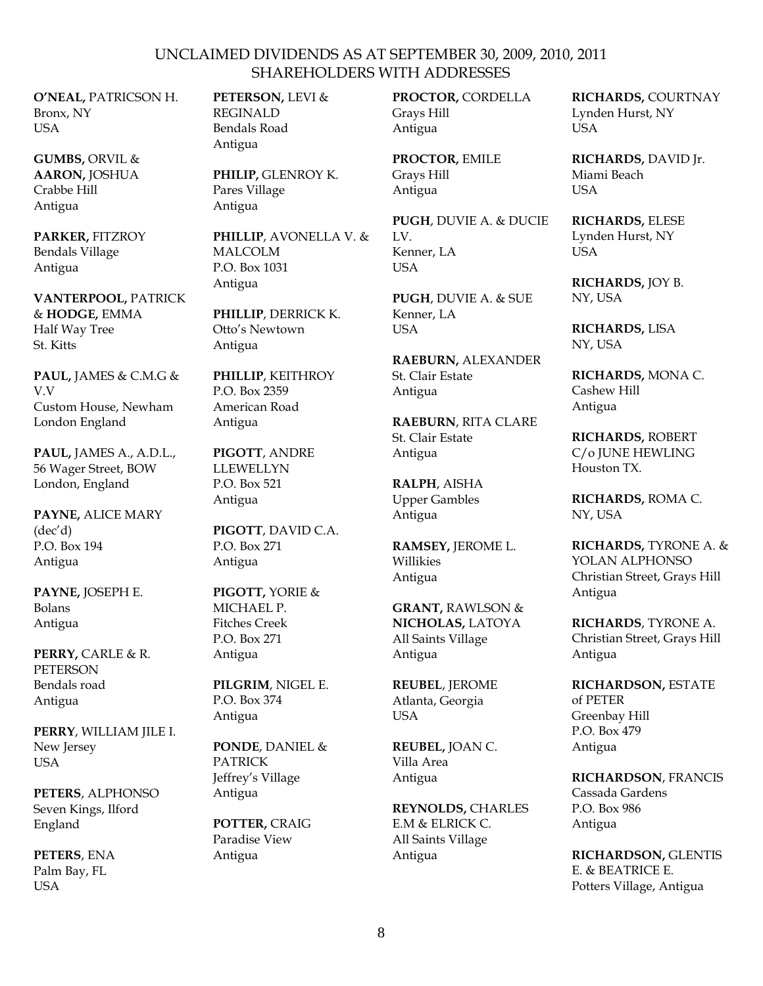**O'NEAL,** PATRICSON H. Bronx, NY **USA** 

**GUMBS,** ORVIL & **AARON,** JOSHUA Crabbe Hill Antigua

**PARKER,** FITZROY Bendals Village Antigua

**VANTERPOOL,** PATRICK & **HODGE,** EMMA Half Way Tree St. Kitts

**PAUL,** JAMES & C.M.G & V.V Custom House, Newham London England

**PAUL,** JAMES A., A.D.L., 56 Wager Street, BOW London, England

**PAYNE,** ALICE MARY (dec'd) P.O. Box 194 Antigua

**PAYNE,** JOSEPH E. Bolans Antigua

**PERRY,** CARLE & R. PETERSON Bendals road Antigua

**PERRY**, WILLIAM JILE I. New Jersey USA

**PETERS**, ALPHONSO Seven Kings, Ilford England

**PETERS**, ENA Palm Bay, FL **USA** 

**PETERSON,** LEVI & REGINALD Bendals Road Antigua

**PHILIP,** GLENROY K. Pares Village Antigua

**PHILLIP**, AVONELLA V. & MALCOLM P.O. Box 1031 Antigua

**PHILLIP**, DERRICK K. Otto's Newtown Antigua

**PHILLIP**, KEITHROY P.O. Box 2359 American Road Antigua

**PIGOTT**, ANDRE **LLEWELLYN** P.O. Box 521 Antigua

**PIGOTT**, DAVID C.A. P.O. Box 271 Antigua

**PIGOTT,** YORIE & MICHAEL P. Fitches Creek P.O. Box 271 Antigua

**PILGRIM**, NIGEL E. P.O. Box 374 Antigua

**PONDE**, DANIEL & PATRICK Jeffrey's Village Antigua

**POTTER,** CRAIG Paradise View Antigua

**PROCTOR,** CORDELLA Grays Hill Antigua

**PROCTOR,** EMILE Grays Hill Antigua

**PUGH**, DUVIE A. & DUCIE  $L = L$ Kenner, LA **USA** 

**PUGH**, DUVIE A. & SUE Kenner, LA USA

**RAEBURN,** ALEXANDER St. Clair Estate Antigua

**RAEBURN**, RITA CLARE St. Clair Estate Antigua

**RALPH**, AISHA Upper Gambles Antigua

**RAMSEY,** JEROME L. Willikies Antigua

**GRANT,** RAWLSON & **NICHOLAS,** LATOYA All Saints Village Antigua

**REUBEL**, JEROME Atlanta, Georgia USA

**REUBEL,** JOAN C. Villa Area Antigua

**REYNOLDS,** CHARLES E.M & ELRICK C. All Saints Village Antigua

**RICHARDS,** COURTNAY Lynden Hurst, NY **USA** 

**RICHARDS,** DAVID Jr. Miami Beach **USA** 

**RICHARDS,** ELESE Lynden Hurst, NY USA

**RICHARDS,** JOY B. NY, USA

**RICHARDS,** LISA NY, USA

**RICHARDS,** MONA C. Cashew Hill Antigua

**RICHARDS,** ROBERT C/o JUNE HEWLING Houston TX.

**RICHARDS,** ROMA C. NY, USA

**RICHARDS,** TYRONE A. & YOLAN ALPHONSO Christian Street, Grays Hill Antigua

**RICHARDS**, TYRONE A. Christian Street, Grays Hill Antigua

**RICHARDSON,** ESTATE of PETER Greenbay Hill P.O. Box 479 Antigua

**RICHARDSON**, FRANCIS Cassada Gardens P.O. Box 986 Antigua

**RICHARDSON,** GLENTIS E. & BEATRICE E. Potters Village, Antigua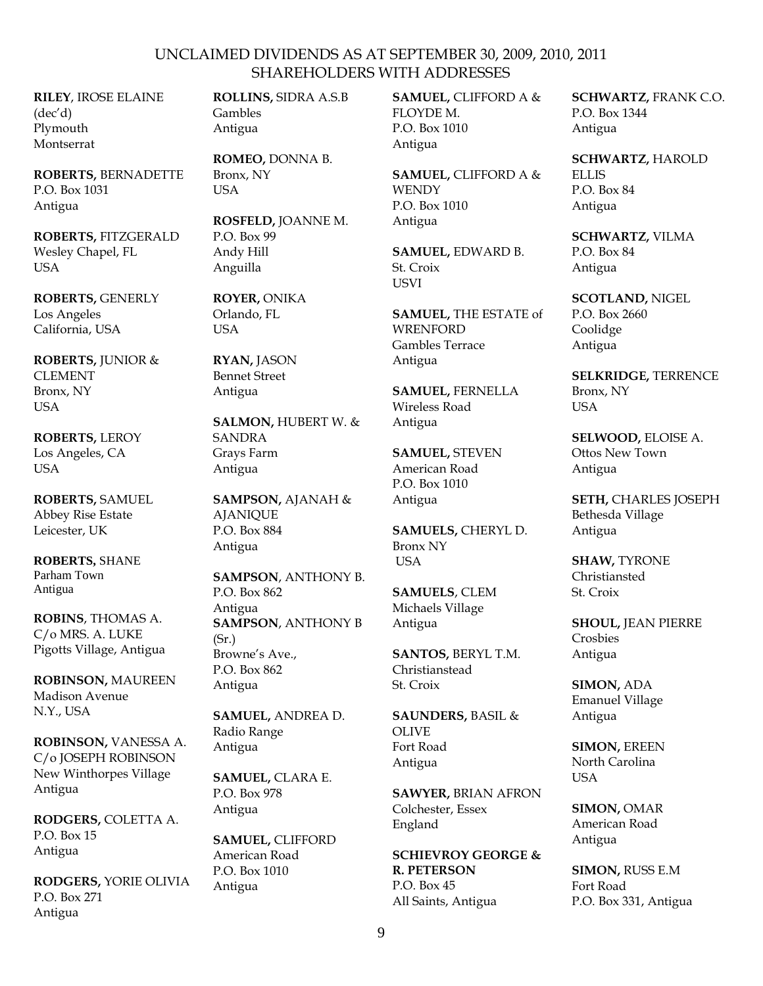**RILEY**, IROSE ELAINE (dec'd) Plymouth Montserrat

**ROBERTS,** BERNADETTE P.O. Box 1031 Antigua

**ROBERTS,** FITZGERALD Wesley Chapel, FL USA

**ROBERTS,** GENERLY Los Angeles California, USA

**ROBERTS,** JUNIOR & CLEMENT Bronx, NY USA

**ROBERTS,** LEROY Los Angeles, CA USA

**ROBERTS,** SAMUEL Abbey Rise Estate Leicester, UK

**ROBERTS,** SHANE Parham Town Antigua

**ROBINS**, THOMAS A. C/o MRS. A. LUKE Pigotts Village, Antigua

**ROBINSON,** MAUREEN Madison Avenue N.Y., USA

**ROBINSON,** VANESSA A. C/o JOSEPH ROBINSON New Winthorpes Village Antigua

**RODGERS,** COLETTA A. P.O. Box 15 Antigua

**RODGERS,** YORIE OLIVIA P.O. Box 271 Antigua

**ROLLINS,** SIDRA A.S.B Gambles Antigua

**ROMEO,** DONNA B. Bronx, NY USA

**ROSFELD,** JOANNE M. P.O. Box 99 Andy Hill Anguilla

**ROYER,** ONIKA Orlando, FL USA

**RYAN,** JASON Bennet Street Antigua

**SALMON,** HUBERT W. & **SANDRA** Grays Farm Antigua

**SAMPSON,** AJANAH & **AJANIQUE** P.O. Box 884 Antigua

**SAMPSON**, ANTHONY B. P.O. Box 862 Antigua **SAMPSON**, ANTHONY B  $(Sr.)$ Browne's Ave., P.O. Box 862 Antigua

**SAMUEL,** ANDREA D. Radio Range Antigua

**SAMUEL,** CLARA E. P.O. Box 978 Antigua

**SAMUEL,** CLIFFORD American Road P.O. Box 1010 Antigua

**SAMUEL,** CLIFFORD A & FLOYDE M. P.O. Box 1010 Antigua

**SAMUEL,** CLIFFORD A & **WENDY** P.O. Box 1010 Antigua

**SAMUEL,** EDWARD B. St. Croix USVI

**SAMUEL,** THE ESTATE of **WRENFORD** Gambles Terrace Antigua

**SAMUEL,** FERNELLA Wireless Road Antigua

**SAMUEL,** STEVEN American Road P.O. Box 1010 Antigua

**SAMUELS,** CHERYL D. Bronx NY USA

**SAMUELS**, CLEM Michaels Village Antigua

**SANTOS,** BERYL T.M. Christianstead St. Croix

**SAUNDERS,** BASIL & OLIVE Fort Road Antigua

**SAWYER,** BRIAN AFRON Colchester, Essex England

**SCHIEVROY GEORGE & R. PETERSON** P.O. Box 45 All Saints, Antigua

**SCHWARTZ,** FRANK C.O. P.O. Box 1344 Antigua

**SCHWARTZ,** HAROLD ELLIS P.O. Box 84

Antigua

**SCHWARTZ,** VILMA P.O. Box 84

Antigua

**SCOTLAND,** NIGEL P.O. Box 2660 Coolidge Antigua

**SELKRIDGE,** TERRENCE Bronx, NY USA

**SELWOOD,** ELOISE A. Ottos New Town Antigua

**SETH,** CHARLES JOSEPH Bethesda Village Antigua

**SHAW,** TYRONE Christiansted St. Croix

**SHOUL,** JEAN PIERRE Crosbies Antigua

**SIMON,** ADA Emanuel Village Antigua

**SIMON,** EREEN North Carolina USA

**SIMON,** OMAR American Road Antigua

**SIMON,** RUSS E.M Fort Road P.O. Box 331, Antigua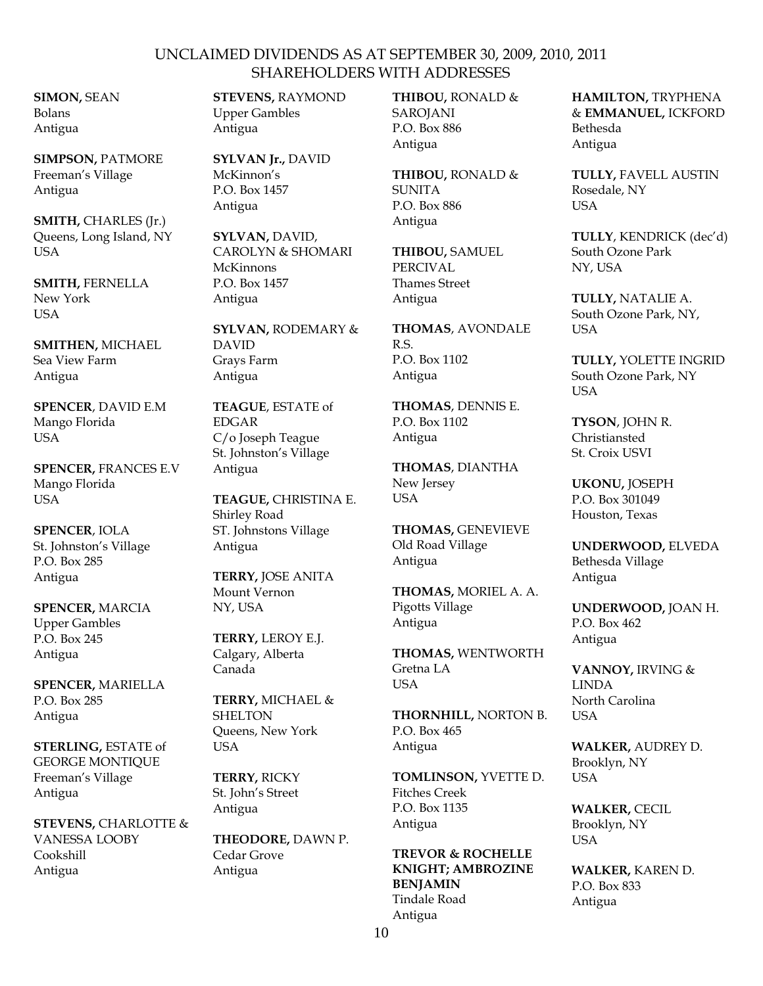**SIMON,** SEAN Bolans Antigua

**SIMPSON,** PATMORE Freeman's Village Antigua

**SMITH,** CHARLES (Jr.) Queens, Long Island, NY USA

**SMITH,** FERNELLA New York **USA** 

**SMITHEN,** MICHAEL Sea View Farm Antigua

**SPENCER**, DAVID E.M Mango Florida USA

**SPENCER,** FRANCES E.V Mango Florida USA

**SPENCER**, IOLA St. Johnston's Village P.O. Box 285 Antigua

**SPENCER,** MARCIA Upper Gambles P.O. Box 245 Antigua

**SPENCER,** MARIELLA P.O. Box 285 Antigua

**STERLING,** ESTATE of GEORGE MONTIQUE Freeman's Village Antigua

**STEVENS,** CHARLOTTE & VANESSA LOOBY Cookshill Antigua

**STEVENS,** RAYMOND Upper Gambles Antigua

**SYLVAN Jr.,** DAVID McKinnon's P.O. Box 1457 Antigua

**SYLVAN,** DAVID, CAROLYN & SHOMARI McKinnons P.O. Box 1457 Antigua

**SYLVAN,** RODEMARY & DAVID Grays Farm Antigua

**TEAGUE**, ESTATE of EDGAR C/o Joseph Teague St. Johnston's Village Antigua

**TEAGUE,** CHRISTINA E. Shirley Road ST. Johnstons Village Antigua

**TERRY,** JOSE ANITA Mount Vernon NY, USA

**TERRY,** LEROY E.J. Calgary, Alberta Canada

**TERRY,** MICHAEL & **SHELTON** Queens, New York **USA** 

**TERRY,** RICKY St. John's Street Antigua

**THEODORE,** DAWN P. Cedar Grove Antigua

**THIBOU,** RONALD & **SAROJANI** P.O. Box 886 Antigua

**THIBOU,** RONALD & SUNITA P.O. Box 886 Antigua

**THIBOU,** SAMUEL PERCIVAL Thames Street Antigua

**THOMAS**, AVONDALE R.S. P.O. Box 1102 Antigua

**THOMAS**, DENNIS E. P.O. Box 1102 Antigua

**THOMAS**, DIANTHA New Jersey USA

**THOMAS,** GENEVIEVE Old Road Village Antigua

**THOMAS,** MORIEL A. A. Pigotts Village Antigua

**THOMAS,** WENTWORTH Gretna LA USA

**THORNHILL,** NORTON B. P.O. Box 465 Antigua

**TOMLINSON,** YVETTE D. Fitches Creek P.O. Box 1135 Antigua

**TREVOR & ROCHELLE KNIGHT; AMBROZINE BENJAMIN** Tindale Road Antigua

**HAMILTON,** TRYPHENA & **EMMANUEL,** ICKFORD Bethesda Antigua

**TULLY,** FAVELL AUSTIN Rosedale, NY USA

**TULLY**, KENDRICK (dec'd) South Ozone Park NY, USA

**TULLY,** NATALIE A. South Ozone Park, NY, USA

**TULLY,** YOLETTE INGRID South Ozone Park, NY USA

**TYSON**, JOHN R. Christiansted St. Croix USVI

**UKONU,** JOSEPH P.O. Box 301049 Houston, Texas

**UNDERWOOD,** ELVEDA Bethesda Village Antigua

**UNDERWOOD,** JOAN H. P.O. Box 462 Antigua

**VANNOY,** IRVING & LINDA North Carolina USA

**WALKER,** AUDREY D. Brooklyn, NY USA

**WALKER,** CECIL Brooklyn, NY USA

**WALKER,** KAREN D. P.O. Box 833 Antigua